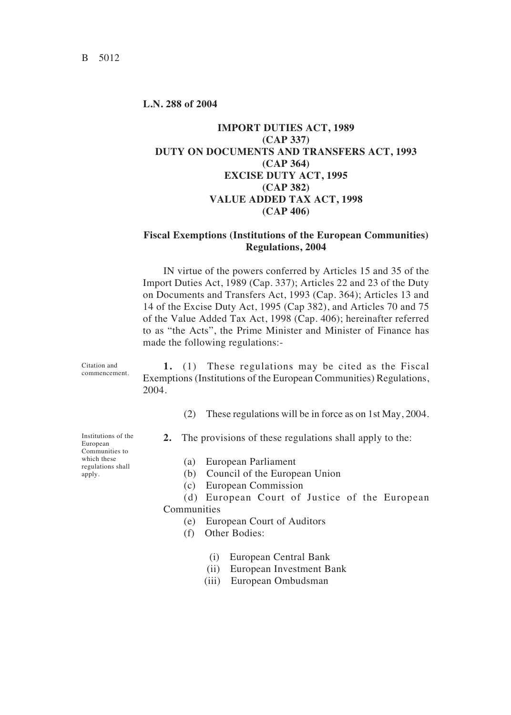## **L.N. 288 of 2004**

## **IMPORT DUTIES ACT, 1989 (CAP 337) DUTY ON DOCUMENTS AND TRANSFERS ACT, 1993 (CAP 364) EXCISE DUTY ACT, 1995 (CAP 382) VALUE ADDED TAX ACT, 1998 (CAP 406)**

## **Fiscal Exemptions (Institutions of the European Communities) Regulations, 2004**

IN virtue of the powers conferred by Articles 15 and 35 of the Import Duties Act, 1989 (Cap. 337)< Articles 22 and 23 of the Duty on Documents and Transfers Act, 1993 (Cap. 364)< Articles 13 and 14 of the Excise Duty Act, 1995 (Cap 382), and Articles 70 and 75 of the Value Added Tax Act, 1998 (Cap. 406)< hereinafter referred to as "the Acts", the Prime Minister and Minister of Finance has made the following regulations:-

Citation and commencement.

**1.** (1) These regulations may be cited as the Fiscal Exemptions (Institutions of the European Communities) Regulations, 2004.

- (2) These regulations will be in force as on 1st May, 2004.
- **2.** The provisions of these regulations shall apply to the:
	- (a) European Parliament
	- (b) Council of the European Union
	- (c) European Commission
- (d) European Court of Justice of the European Communities
	- (e) European Court of Auditors
	- $(f)$  Other Bodies:
		- (i) European Central Bank
		- (ii) European Investment Bank
		- (iii) European Ombudsman

Institutions of the European Communities to which these regulations shall apply.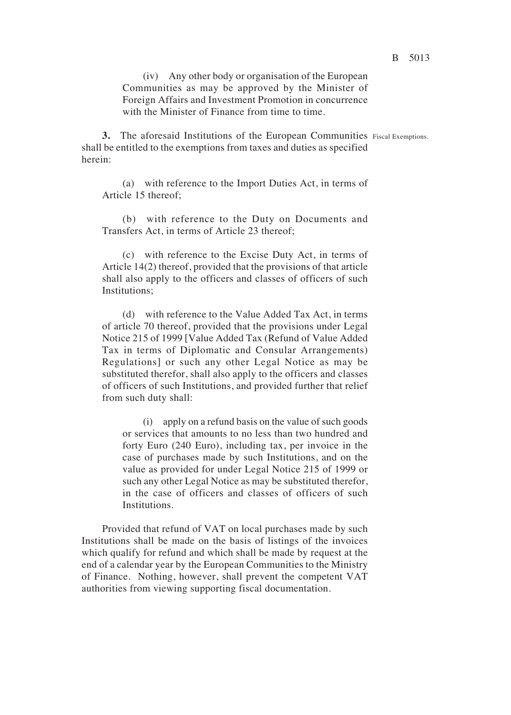(iv) Any other body or organisation of the European Communities as may be approved by the Minister of Foreign Affairs and Investment Promotion in concurrence with the Minister of Finance from time to time.

**3.** The aforesaid Institutions of the European Communities Fiscal Exemptions.shall be entitled to the exemptions from taxes and duties as specified herein:

(a) with reference to the Import Duties Act, in terms of Article 15 thereof<

(b) with reference to the Duty on Documents and Transfers Act, in terms of Article 23 thereof<

(c) with reference to the Excise Duty Act, in terms of Article 14(2) thereof, provided that the provisions of that article shall also apply to the officers and classes of officers of such Institutions<

(d) with reference to the Value Added Tax Act, in terms of article 70 thereof, provided that the provisions under Legal Notice 215 of 1999 [Value Added Tax (Refund of Value Added Tax in terms of Diplomatic and Consular Arrangements) Regulations] or such any other Legal Notice as may be substituted therefor, shall also apply to the officers and classes of officers of such Institutions, and provided further that relief from such duty shall:

(i) apply on a refund basis on the value of such goods or services that amounts to no less than two hundred and forty Euro (240 Euro), including tax, per invoice in the case of purchases made by such Institutions, and on the value as provided for under Legal Notice 215 of 1999 or such any other Legal Notice as may be substituted therefor, in the case of officers and classes of officers of such Institutions.

Provided that refund of VAT on local purchases made by such Institutions shall be made on the basis of listings of the invoices which qualify for refund and which shall be made by request at the end of a calendar year by the European Communities to the Ministry of Finance. Nothing, however, shall prevent the competent VAT authorities from viewing supporting fiscal documentation.